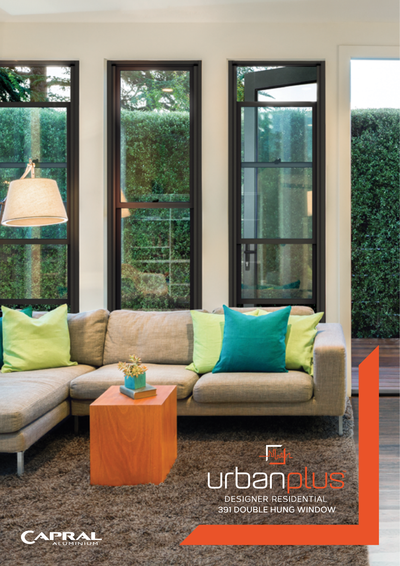## **391 DOUBLE HUNG WINDOW**